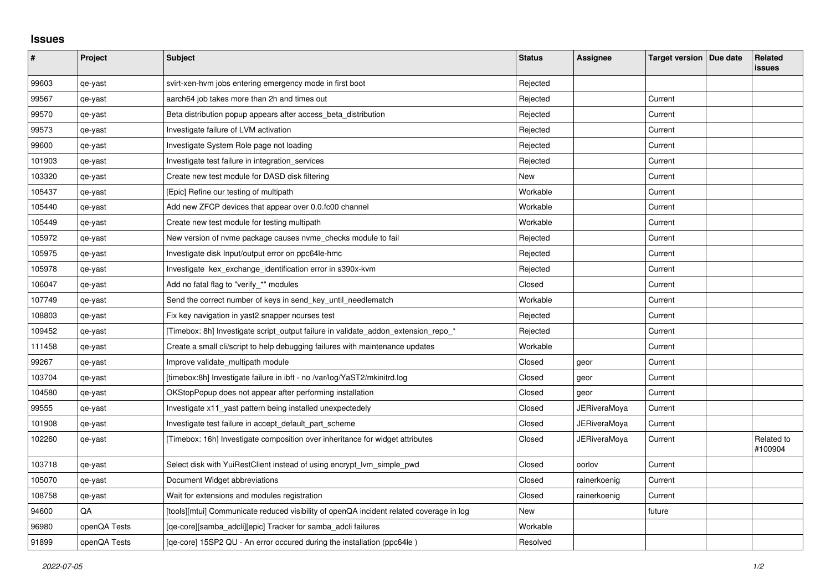## **Issues**

| #      | Project      | <b>Subject</b>                                                                          | <b>Status</b> | Assignee            | Target version   Due date | Related<br>issues     |
|--------|--------------|-----------------------------------------------------------------------------------------|---------------|---------------------|---------------------------|-----------------------|
| 99603  | qe-yast      | svirt-xen-hym jobs entering emergency mode in first boot                                | Rejected      |                     |                           |                       |
| 99567  | qe-yast      | aarch64 job takes more than 2h and times out                                            | Rejected      |                     | Current                   |                       |
| 99570  | qe-yast      | Beta distribution popup appears after access beta distribution                          | Rejected      |                     | Current                   |                       |
| 99573  | qe-yast      | Investigate failure of LVM activation                                                   | Rejected      |                     | Current                   |                       |
| 99600  | qe-yast      | Investigate System Role page not loading                                                | Rejected      |                     | Current                   |                       |
| 101903 | qe-yast      | Investigate test failure in integration_services                                        | Rejected      |                     | Current                   |                       |
| 103320 | qe-yast      | Create new test module for DASD disk filtering                                          | <b>New</b>    |                     | Current                   |                       |
| 105437 | qe-yast      | [Epic] Refine our testing of multipath                                                  | Workable      |                     | Current                   |                       |
| 105440 | qe-yast      | Add new ZFCP devices that appear over 0.0.fc00 channel                                  | Workable      |                     | Current                   |                       |
| 105449 | qe-yast      | Create new test module for testing multipath                                            | Workable      |                     | Current                   |                       |
| 105972 | qe-yast      | New version of nvme package causes nvme_checks module to fail                           | Rejected      |                     | Current                   |                       |
| 105975 | qe-yast      | Investigate disk Input/output error on ppc64le-hmc                                      | Rejected      |                     | Current                   |                       |
| 105978 | qe-yast      | Investigate kex_exchange_identification error in s390x-kvm                              | Rejected      |                     | Current                   |                       |
| 106047 | qe-yast      | Add no fatal flag to "verify_*" modules                                                 | Closed        |                     | Current                   |                       |
| 107749 | qe-yast      | Send the correct number of keys in send_key_until_needlematch                           | Workable      |                     | Current                   |                       |
| 108803 | qe-yast      | Fix key navigation in yast2 snapper ncurses test                                        | Rejected      |                     | Current                   |                       |
| 109452 | qe-yast      | [Timebox: 8h] Investigate script_output failure in validate_addon_extension_repo_*      | Rejected      |                     | Current                   |                       |
| 111458 | qe-yast      | Create a small cli/script to help debugging failures with maintenance updates           | Workable      |                     | Current                   |                       |
| 99267  | qe-yast      | Improve validate_multipath module                                                       | Closed        | geor                | Current                   |                       |
| 103704 | qe-yast      | [timebox:8h] Investigate failure in ibft - no /var/log/YaST2/mkinitrd.log               | Closed        | geor                | Current                   |                       |
| 104580 | qe-yast      | OKStopPopup does not appear after performing installation                               | Closed        | geor                | Current                   |                       |
| 99555  | qe-yast      | Investigate x11_yast pattern being installed unexpectedely                              | Closed        | JERiveraMoya        | Current                   |                       |
| 101908 | qe-yast      | Investigate test failure in accept_default_part_scheme                                  | Closed        | <b>JERiveraMoya</b> | Current                   |                       |
| 102260 | qe-yast      | [Timebox: 16h] Investigate composition over inheritance for widget attributes           | Closed        | JERiveraMoya        | Current                   | Related to<br>#100904 |
| 103718 | qe-yast      | Select disk with YuiRestClient instead of using encrypt_lvm_simple_pwd                  | Closed        | oorlov              | Current                   |                       |
| 105070 | qe-yast      | Document Widget abbreviations                                                           | Closed        | rainerkoenig        | Current                   |                       |
| 108758 | qe-yast      | Wait for extensions and modules registration                                            | Closed        | rainerkoenig        | Current                   |                       |
| 94600  | QA           | [tools][mtui] Communicate reduced visibility of openQA incident related coverage in log | New           |                     | future                    |                       |
| 96980  | openQA Tests | [qe-core][samba_adcli][epic] Tracker for samba_adcli failures                           | Workable      |                     |                           |                       |
| 91899  | openQA Tests | [ge-core] 15SP2 QU - An error occured during the installation (ppc64le)                 | Resolved      |                     |                           |                       |